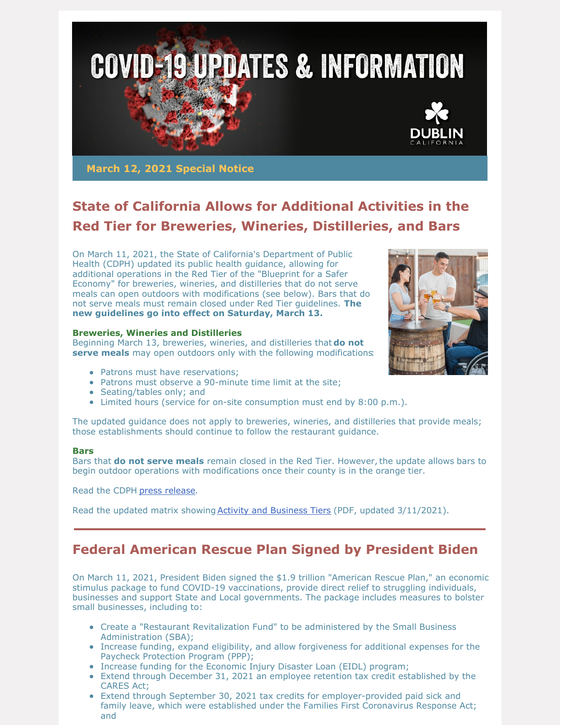

**March 12, 2021 Special Notice**

# **State of California Allows for Additional Activities in the Red Tier for Breweries, Wineries, Distilleries, and Bars**

On March 11, 2021, the State of California's Department of Public Health (CDPH) updated its public health guidance, allowing for additional operations in the Red Tier of the "Blueprint for a Safer Economy" for breweries, wineries, and distilleries that do not serve meals can open outdoors with modifications (see below). Bars that do not serve meals must remain closed under Red Tier guidelines. **The new guidelines go into effect on Saturday, March 13.**

### **Breweries, Wineries and Distilleries**

Beginning March 13, breweries, wineries, and distilleries that **do not serve meals** may open outdoors only with the following modifications:

- Patrons must have reservations:
- Patrons must observe a 90-minute time limit at the site;
- Seating/tables only; and
- Limited hours (service for on-site consumption must end by 8:00 p.m.).

The updated guidance does not apply to breweries, wineries, and distilleries that provide meals; those establishments should continue to follow the restaurant guidance.

#### **Bars**

Bars that **do not serve meals** remain closed in the Red Tier. However,the update allows bars to begin outdoor operations with modifications once their county is in the orange tier.

Read the CDPH press [release](https://www.cdph.ca.gov/Programs/OPA/Pages/NR21-083.aspx).

Read the updated matrix showing Activity and [Business](https://www.cdph.ca.gov/Programs/CID/DCDC/CDPH Document Library/COVID-19/Dimmer-Framework-September_2020.pdf) Tiers (PDF, updated 3/11/2021).

## **Federal American Rescue Plan Signed by President Biden**

On March 11, 2021, President Biden signed the \$1.9 trillion "American Rescue Plan," an economic stimulus package to fund COVID-19 vaccinations, provide direct relief to struggling individuals, businesses and support State and Local governments. The package includes measures to bolster small businesses, including to:

- Create a "Restaurant Revitalization Fund" to be administered by the Small Business Administration (SBA);
- Increase funding, expand eligibility, and allow forgiveness for additional expenses for the Paycheck Protection Program (PPP);
- Increase funding for the Economic Injury Disaster Loan (EIDL) program;
- Extend through December 31, 2021 an employee retention tax credit established by the CARES Act;
- Extend through September 30, 2021 tax credits for employer-provided paid sick and family leave, which were established under the Families First Coronavirus Response Act; and

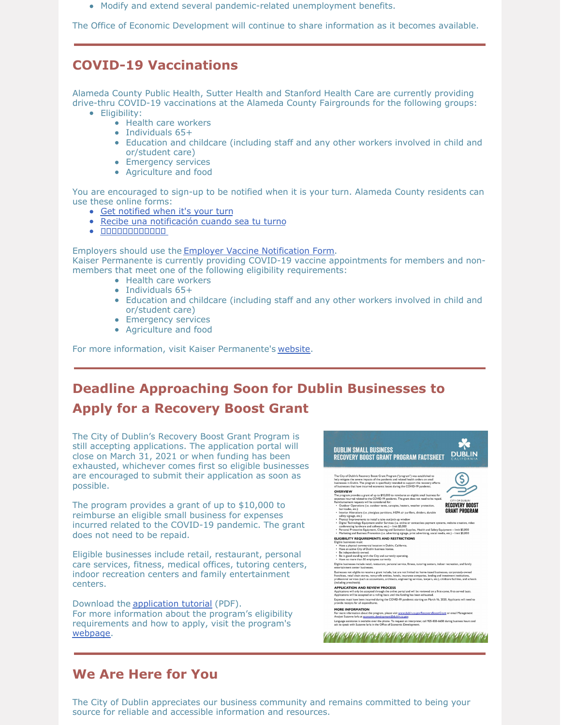Modify and extend several pandemic-related unemployment benefits.

The Office of Economic Development will continue to share information as it becomes available.

## **COVID-19 Vaccinations**

Alameda County Public Health, Sutter Health and Stanford Health Care are currently providing drive-thru COVID-19 vaccinations at the Alameda County Fairgrounds for the following groups:

- Eligibility:
	- Health care workers
	- Individuals 65+
	- Education and childcare (including staff and any other workers involved in child and or/student care)
	- Emergency services
	- Agriculture and food

You are encouraged to sign-up to be notified when it is your turn. Alameda County residents can use these online forms:

- Get [notified](https://forms.office.com/Pages/ResponsePage.aspx?id=LP_9Mm74o0ukfWpEp_RaZJQMTGauARpLj6XkpVpiJ3FUMUwwTk8yTFNHWDA3UUFGSzE4NlQ4RlNMWi4u) when it's your turn
- Recibe una [notificación](https://forms.office.com/Pages/ResponsePage.aspx?id=LP_9Mm74o0ukfWpEp_RaZJQMTGauARpLj6XkpVpiJ3FUMUVYUTEwU1lPU0VIM1paVzI4RTZaQzQ3Sy4u) cuando sea tu turno
- $\bullet \quad \textcolor{red}{\textbf{11111111111111}} \bullet$

Employers should use the Employer Vaccine [Notification](https://app.smartsheet.com/b/form/9cfb6b1f2b644405b4c5b919204596a5) Form. Kaiser Permanente is currently providing COVID-19 vaccine appointments for members and nonmembers that meet one of the following eligibility requirements:

- Health care workers
- Individuals 65+
- Education and childcare (including staff and any other workers involved in child and or/student care)
- Emergency services
- Agriculture and food

For more information, visit Kaiser Permanente's [website](https://healthy.kaiserpermanente.org/northern-california/health-wellness/coronavirus-information/covid-vaccine).

# **Deadline Approaching Soon for Dublin Businesses to Apply for a Recovery Boost Grant**

The City of Dublin's Recovery Boost Grant Program is still accepting applications. The application portal will close on March 31, 2021 or when funding has been exhausted, whichever comes first so eligible businesses are encouraged to submit their application as soon as possible.

The program provides a grant of up to \$10,000 to reimburse an eligible small business for expenses incurred related to the COVID-19 pandemic. The grant does not need to be repaid.

Eligible businesses include retail, restaurant, personal care services, fitness, medical offices, tutoring centers, indoor recreation centers and family entertainment centers.

Download the [application](https://dublin.ca.gov/DocumentCenter/View/24634) tutorial (PDF). For more information about the program's eligibility requirements and how to apply, visit the program's [webpage](https://dublin.ca.gov/recoveryboostgrant).



### **We Are Here for You**

The City of Dublin appreciates our business community and remains committed to being your source for reliable and accessible information and resources.